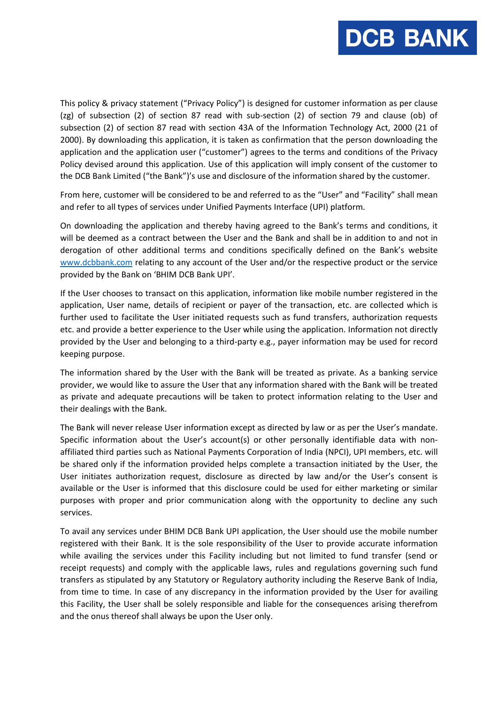

This policy & privacy statement ("Privacy Policy") is designed for customer information as per clause (zg) of subsection (2) of section 87 read with sub-section (2) of section 79 and clause (ob) of subsection (2) of section 87 read with section 43A of the Information Technology Act, 2000 (21 of 2000). By downloading this application, it is taken as confirmation that the person downloading the application and the application user ("customer") agrees to the terms and conditions of the Privacy Policy devised around this application. Use of this application will imply consent of the customer to the DCB Bank Limited ("the Bank")'s use and disclosure of the information shared by the customer.

From here, customer will be considered to be and referred to as the "User" and "Facility" shall mean and refer to all types of services under Unified Payments Interface (UPI) platform.

On downloading the application and thereby having agreed to the Bank's terms and conditions, it will be deemed as a contract between the User and the Bank and shall be in addition to and not in derogation of other additional terms and conditions specifically defined on the Bank's website [www.dcbbank.com](http://www.dcbbank.com/) relating to any account of the User and/or the respective product or the service provided by the Bank on 'BHIM DCB Bank UPI'.

If the User chooses to transact on this application, information like mobile number registered in the application, User name, details of recipient or payer of the transaction, etc. are collected which is further used to facilitate the User initiated requests such as fund transfers, authorization requests etc. and provide a better experience to the User while using the application. Information not directly provided by the User and belonging to a third-party e.g., payer information may be used for record keeping purpose.

The information shared by the User with the Bank will be treated as private. As a banking service provider, we would like to assure the User that any information shared with the Bank will be treated as private and adequate precautions will be taken to protect information relating to the User and their dealings with the Bank.

The Bank will never release User information except as directed by law or as per the User's mandate. Specific information about the User's account(s) or other personally identifiable data with nonaffiliated third parties such as National Payments Corporation of India (NPCI), UPI members, etc. will be shared only if the information provided helps complete a transaction initiated by the User, the User initiates authorization request, disclosure as directed by law and/or the User's consent is available or the User is informed that this disclosure could be used for either marketing or similar purposes with proper and prior communication along with the opportunity to decline any such services.

To avail any services under BHIM DCB Bank UPI application, the User should use the mobile number registered with their Bank. It is the sole responsibility of the User to provide accurate information while availing the services under this Facility including but not limited to fund transfer (send or receipt requests) and comply with the applicable laws, rules and regulations governing such fund transfers as stipulated by any Statutory or Regulatory authority including the Reserve Bank of India, from time to time. In case of any discrepancy in the information provided by the User for availing this Facility, the User shall be solely responsible and liable for the consequences arising therefrom and the onus thereof shall always be upon the User only.